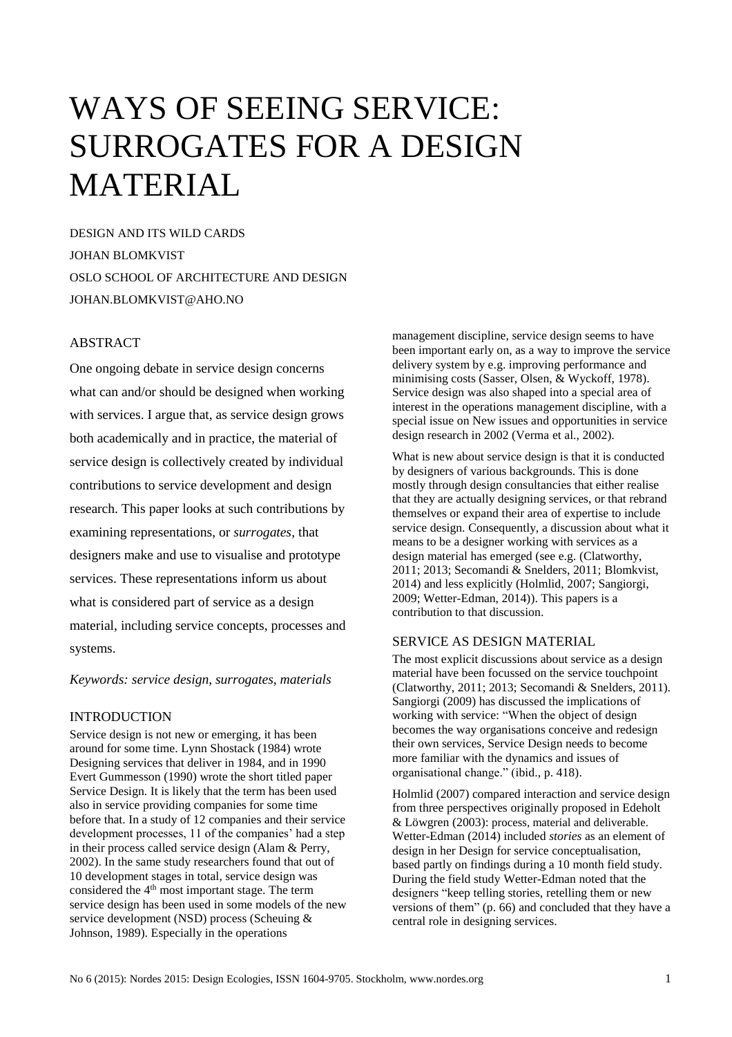# WAYS OF SEEING SERVICE: SURROGATES FOR A DESIGN MATERIAL

DESIGN AND ITS WILD CARDS JOHAN BLOMKVIST OSLO SCHOOL OF ARCHITECTURE AND DESIGN JOHAN.BLOMKVIST@AHO.NO

## ABSTRACT

One ongoing debate in service design concerns what can and/or should be designed when working with services. I argue that, as service design grows both academically and in practice, the material of service design is collectively created by individual contributions to service development and design research. This paper looks at such contributions by examining representations, or *surrogates*, that designers make and use to visualise and prototype services. These representations inform us about what is considered part of service as a design material, including service concepts, processes and systems.

*Keywords: service design, surrogates, materials*

## INTRODUCTION

Service design is not new or emerging, it has been around for some time. Lynn Shostack (1984) wrote Designing services that deliver in 1984, and in 1990 Evert Gummesson (1990) wrote the short titled paper Service Design. It is likely that the term has been used also in service providing companies for some time before that. In a study of 12 companies and their service development processes, 11 of the companies' had a step in their process called service design (Alam & Perry, 2002). In the same study researchers found that out of 10 development stages in total, service design was considered the 4<sup>th</sup> most important stage. The term service design has been used in some models of the new service development (NSD) process (Scheuing & Johnson, 1989). Especially in the operations

management discipline, service design seems to have been important early on, as a way to improve the service delivery system by e.g. improving performance and minimising costs (Sasser, Olsen, & Wyckoff, 1978). Service design was also shaped into a special area of interest in the operations management discipline, with a special issue on New issues and opportunities in service design research in 2002 (Verma et al., 2002).

What is new about service design is that it is conducted by designers of various backgrounds. This is done mostly through design consultancies that either realise that they are actually designing services, or that rebrand themselves or expand their area of expertise to include service design. Consequently, a discussion about what it means to be a designer working with services as a design material has emerged (see e.g. (Clatworthy, 2011; 2013; Secomandi & Snelders, 2011; Blomkvist, 2014) and less explicitly (Holmlid, 2007; Sangiorgi, 2009; Wetter-Edman, 2014)). This papers is a contribution to that discussion.

## SERVICE AS DESIGN MATERIAL

The most explicit discussions about service as a design material have been focussed on the service touchpoint (Clatworthy, 2011; 2013; Secomandi & Snelders, 2011). Sangiorgi (2009) has discussed the implications of working with service: "When the object of design becomes the way organisations conceive and redesign their own services, Service Design needs to become more familiar with the dynamics and issues of organisational change." (ibid., p. 418).

Holmlid (2007) compared interaction and service design from three perspectives originally proposed in Edeholt & Löwgren (2003): process, material and deliverable. Wetter-Edman (2014) included *stories* as an element of design in her Design for service conceptualisation, based partly on findings during a 10 month field study. During the field study Wetter-Edman noted that the designers "keep telling stories, retelling them or new versions of them" (p. 66) and concluded that they have a central role in designing services.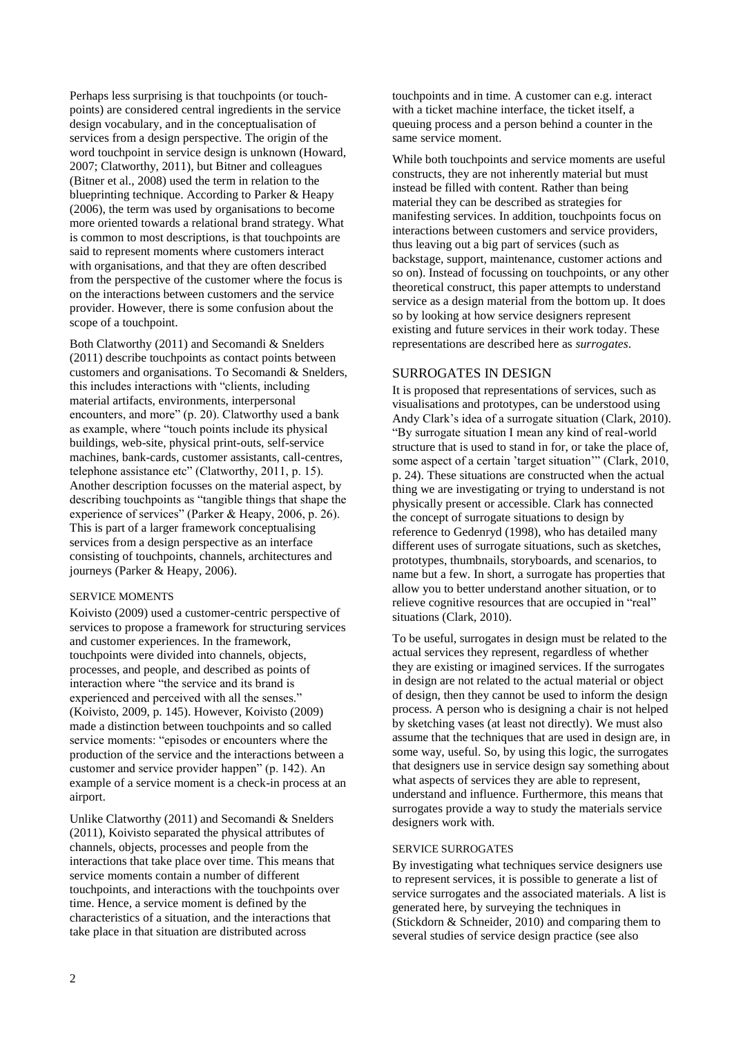Perhaps less surprising is that touchpoints (or touchpoints) are considered central ingredients in the service design vocabulary, and in the conceptualisation of services from a design perspective. The origin of the word touchpoint in service design is unknown (Howard, 2007; Clatworthy, 2011), but Bitner and colleagues (Bitner et al., 2008) used the term in relation to the blueprinting technique. According to Parker & Heapy (2006), the term was used by organisations to become more oriented towards a relational brand strategy. What is common to most descriptions, is that touchpoints are said to represent moments where customers interact with organisations, and that they are often described from the perspective of the customer where the focus is on the interactions between customers and the service provider. However, there is some confusion about the scope of a touchpoint.

Both Clatworthy (2011) and Secomandi & Snelders (2011) describe touchpoints as contact points between customers and organisations. To Secomandi & Snelders, this includes interactions with "clients, including material artifacts, environments, interpersonal encounters, and more" (p. 20). Clatworthy used a bank as example, where "touch points include its physical buildings, web-site, physical print-outs, self-service machines, bank-cards, customer assistants, call-centres, telephone assistance etc" (Clatworthy, 2011, p. 15). Another description focusses on the material aspect, by describing touchpoints as "tangible things that shape the experience of services" (Parker & Heapy, 2006, p. 26). This is part of a larger framework conceptualising services from a design perspective as an interface consisting of touchpoints, channels, architectures and journeys (Parker & Heapy, 2006).

#### SERVICE MOMENTS

Koivisto (2009) used a customer-centric perspective of services to propose a framework for structuring services and customer experiences. In the framework, touchpoints were divided into channels, objects, processes, and people, and described as points of interaction where "the service and its brand is experienced and perceived with all the senses." (Koivisto, 2009, p. 145). However, Koivisto (2009) made a distinction between touchpoints and so called service moments: "episodes or encounters where the production of the service and the interactions between a customer and service provider happen" (p. 142). An example of a service moment is a check-in process at an airport.

Unlike Clatworthy (2011) and Secomandi & Snelders (2011), Koivisto separated the physical attributes of channels, objects, processes and people from the interactions that take place over time. This means that service moments contain a number of different touchpoints, and interactions with the touchpoints over time. Hence, a service moment is defined by the characteristics of a situation, and the interactions that take place in that situation are distributed across

touchpoints and in time. A customer can e.g. interact with a ticket machine interface, the ticket itself, a queuing process and a person behind a counter in the same service moment.

While both touchpoints and service moments are useful constructs, they are not inherently material but must instead be filled with content. Rather than being material they can be described as strategies for manifesting services. In addition, touchpoints focus on interactions between customers and service providers, thus leaving out a big part of services (such as backstage, support, maintenance, customer actions and so on). Instead of focussing on touchpoints, or any other theoretical construct, this paper attempts to understand service as a design material from the bottom up. It does so by looking at how service designers represent existing and future services in their work today. These representations are described here as *surrogates*.

#### SURROGATES IN DESIGN

It is proposed that representations of services, such as visualisations and prototypes, can be understood using Andy Clark's idea of a surrogate situation (Clark, 2010). "By surrogate situation I mean any kind of real-world structure that is used to stand in for, or take the place of, some aspect of a certain 'target situation'" (Clark, 2010, p. 24). These situations are constructed when the actual thing we are investigating or trying to understand is not physically present or accessible. Clark has connected the concept of surrogate situations to design by reference to Gedenryd (1998), who has detailed many different uses of surrogate situations, such as sketches, prototypes, thumbnails, storyboards, and scenarios, to name but a few. In short, a surrogate has properties that allow you to better understand another situation, or to relieve cognitive resources that are occupied in "real" situations (Clark, 2010).

To be useful, surrogates in design must be related to the actual services they represent, regardless of whether they are existing or imagined services. If the surrogates in design are not related to the actual material or object of design, then they cannot be used to inform the design process. A person who is designing a chair is not helped by sketching vases (at least not directly). We must also assume that the techniques that are used in design are, in some way, useful. So, by using this logic, the surrogates that designers use in service design say something about what aspects of services they are able to represent, understand and influence. Furthermore, this means that surrogates provide a way to study the materials service designers work with.

#### SERVICE SURROGATES

By investigating what techniques service designers use to represent services, it is possible to generate a list of service surrogates and the associated materials. A list is generated here, by surveying the techniques in (Stickdorn & Schneider, 2010) and comparing them to several studies of service design practice (see also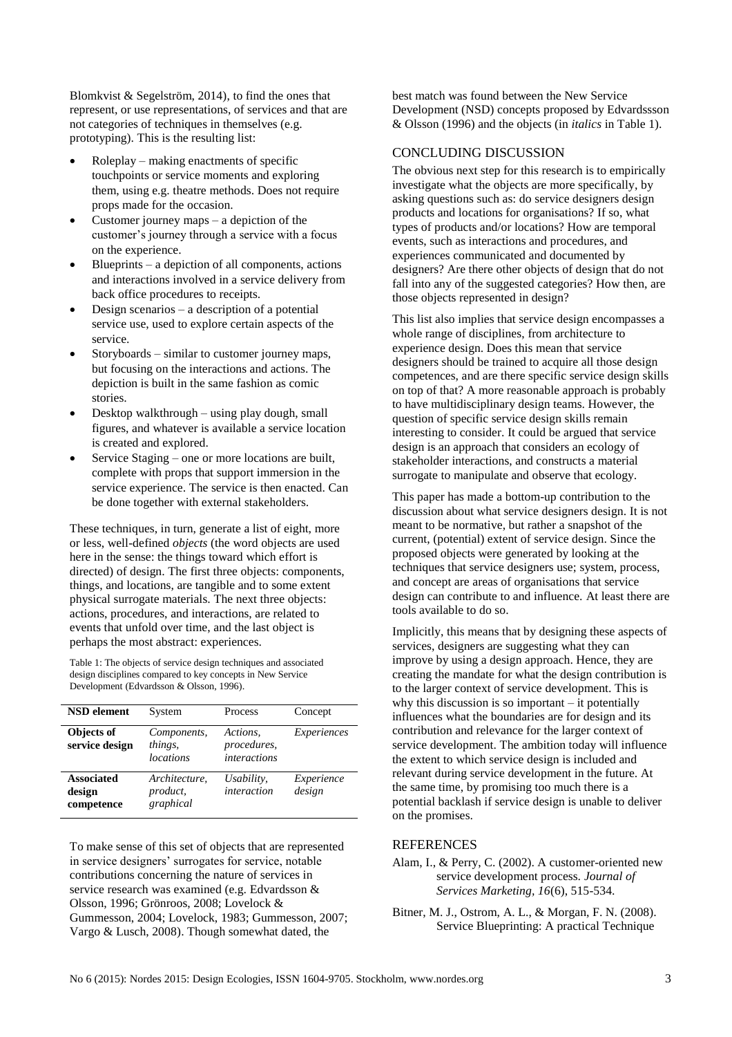Blomkvist & Segelström, 2014), to find the ones that represent, or use representations, of services and that are not categories of techniques in themselves (e.g. prototyping). This is the resulting list:

- Roleplay making enactments of specific touchpoints or service moments and exploring them, using e.g. theatre methods. Does not require props made for the occasion.
- Customer journey maps a depiction of the customer's journey through a service with a focus on the experience.
- Blueprints a depiction of all components, actions and interactions involved in a service delivery from back office procedures to receipts.
- Design scenarios a description of a potential service use, used to explore certain aspects of the service.
- Storyboards similar to customer journey maps, but focusing on the interactions and actions. The depiction is built in the same fashion as comic stories.
- Desktop walkthrough using play dough, small figures, and whatever is available a service location is created and explored.
- Service Staging one or more locations are built, complete with props that support immersion in the service experience. The service is then enacted. Can be done together with external stakeholders.

These techniques, in turn, generate a list of eight, more or less, well-defined *objects* (the word objects are used here in the sense: the things toward which effort is directed) of design. The first three objects: components, things, and locations, are tangible and to some extent physical surrogate materials. The next three objects: actions, procedures, and interactions, are related to events that unfold over time, and the last object is perhaps the most abstract: experiences.

<span id="page-2-0"></span>Table 1: The objects of service design techniques and associated design disciplines compared to key concepts in New Service Development (Edvardsson & Olsson, 1996).

| <b>NSD</b> element                        | System                                     | Process                                        | Concept              |
|-------------------------------------------|--------------------------------------------|------------------------------------------------|----------------------|
| Objects of<br>service design              | Components,<br>things,<br><i>locations</i> | Actions.<br>procedures,<br><i>interactions</i> | Experiences          |
| <b>Associated</b><br>design<br>competence | Architecture,<br>product,<br>graphical     | Usability,<br>interaction                      | Experience<br>design |

To make sense of this set of objects that are represented in service designers' surrogates for service, notable contributions concerning the nature of services in service research was examined (e.g. Edvardsson & Olsson, 1996; Grönroos, 2008; Lovelock & Gummesson, 2004; Lovelock, 1983; Gummesson, 2007; Vargo & Lusch, 2008). Though somewhat dated, the

best match was found between the New Service Development (NSD) concepts proposed by Edvardssson & Olsson (1996) and the objects (in *italics* in [Table 1\)](#page-2-0).

### CONCLUDING DISCUSSION

The obvious next step for this research is to empirically investigate what the objects are more specifically, by asking questions such as: do service designers design products and locations for organisations? If so, what types of products and/or locations? How are temporal events, such as interactions and procedures, and experiences communicated and documented by designers? Are there other objects of design that do not fall into any of the suggested categories? How then, are those objects represented in design?

This list also implies that service design encompasses a whole range of disciplines, from architecture to experience design. Does this mean that service designers should be trained to acquire all those design competences, and are there specific service design skills on top of that? A more reasonable approach is probably to have multidisciplinary design teams. However, the question of specific service design skills remain interesting to consider. It could be argued that service design is an approach that considers an ecology of stakeholder interactions, and constructs a material surrogate to manipulate and observe that ecology.

This paper has made a bottom-up contribution to the discussion about what service designers design. It is not meant to be normative, but rather a snapshot of the current, (potential) extent of service design. Since the proposed objects were generated by looking at the techniques that service designers use; system, process, and concept are areas of organisations that service design can contribute to and influence. At least there are tools available to do so.

Implicitly, this means that by designing these aspects of services, designers are suggesting what they can improve by using a design approach. Hence, they are creating the mandate for what the design contribution is to the larger context of service development. This is why this discussion is so important – it potentially influences what the boundaries are for design and its contribution and relevance for the larger context of service development. The ambition today will influence the extent to which service design is included and relevant during service development in the future. At the same time, by promising too much there is a potential backlash if service design is unable to deliver on the promises.

## **REFERENCES**

Alam, I., & Perry, C. (2002). A customer-oriented new service development process. *Journal of Services Marketing, 16*(6), 515-534.

Bitner, M. J., Ostrom, A. L., & Morgan, F. N. (2008). Service Blueprinting: A practical Technique